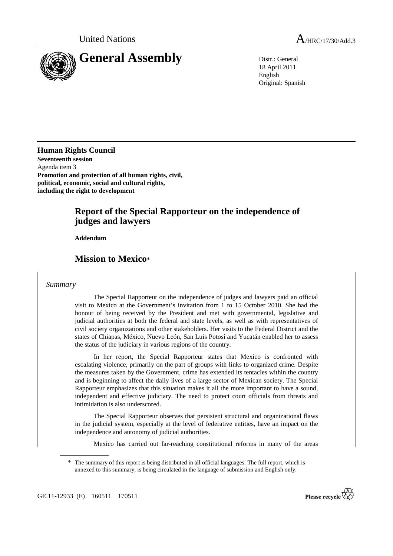

18 April 2011 English Original: Spanish

**Human Rights Council Seventeenth session**  Agenda item 3 **Promotion and protection of all human rights, civil, political, economic, social and cultural rights, including the right to development** 

# **Report of the Special Rapporteur on the independence of judges and lawyers**

 **Addendum** 

# **Mission to Mexico**\*

#### *Summary*

 The Special Rapporteur on the independence of judges and lawyers paid an official visit to Mexico at the Government's invitation from 1 to 15 October 2010. She had the honour of being received by the President and met with governmental, legislative and judicial authorities at both the federal and state levels, as well as with representatives of civil society organizations and other stakeholders. Her visits to the Federal District and the states of Chiapas, México, Nuevo León, San Luis Potosí and Yucatán enabled her to assess the status of the judiciary in various regions of the country.

 In her report, the Special Rapporteur states that Mexico is confronted with escalating violence, primarily on the part of groups with links to organized crime. Despite the measures taken by the Government, crime has extended its tentacles within the country and is beginning to affect the daily lives of a large sector of Mexican society. The Special Rapporteur emphasizes that this situation makes it all the more important to have a sound, independent and effective judiciary. The need to protect court officials from threats and intimidation is also underscored.

 The Special Rapporteur observes that persistent structural and organizational flaws in the judicial system, especially at the level of federative entities, have an impact on the independence and autonomy of judicial authorities.

Mexico has carried out far-reaching constitutional reforms in many of the areas



<sup>\*</sup> The summary of this report is being distributed in all official languages. The full report, which is annexed to this summary, is being circulated in the language of submission and English only.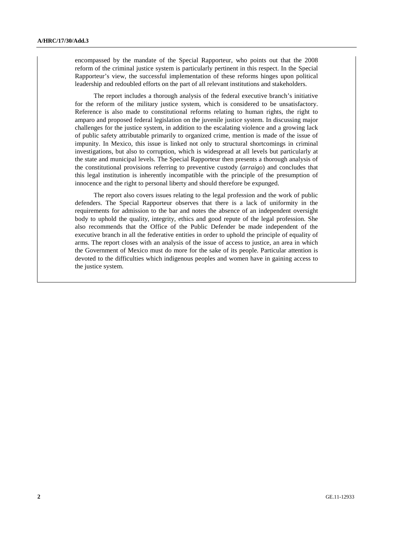encompassed by the mandate of the Special Rapporteur, who points out that the 2008 reform of the criminal justice system is particularly pertinent in this respect. In the Special Rapporteur's view, the successful implementation of these reforms hinges upon political leadership and redoubled efforts on the part of all relevant institutions and stakeholders.

 The report includes a thorough analysis of the federal executive branch's initiative for the reform of the military justice system, which is considered to be unsatisfactory. Reference is also made to constitutional reforms relating to human rights, the right to amparo and proposed federal legislation on the juvenile justice system. In discussing major challenges for the justice system, in addition to the escalating violence and a growing lack of public safety attributable primarily to organized crime, mention is made of the issue of impunity. In Mexico, this issue is linked not only to structural shortcomings in criminal investigations, but also to corruption, which is widespread at all levels but particularly at the state and municipal levels. The Special Rapporteur then presents a thorough analysis of the constitutional provisions referring to preventive custody (*arraigo*) and concludes that this legal institution is inherently incompatible with the principle of the presumption of innocence and the right to personal liberty and should therefore be expunged.

 The report also covers issues relating to the legal profession and the work of public defenders. The Special Rapporteur observes that there is a lack of uniformity in the requirements for admission to the bar and notes the absence of an independent oversight body to uphold the quality, integrity, ethics and good repute of the legal profession. She also recommends that the Office of the Public Defender be made independent of the executive branch in all the federative entities in order to uphold the principle of equality of arms. The report closes with an analysis of the issue of access to justice, an area in which the Government of Mexico must do more for the sake of its people. Particular attention is devoted to the difficulties which indigenous peoples and women have in gaining access to the justice system.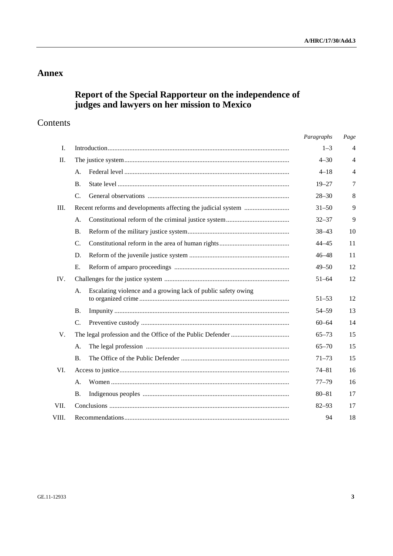# **Annex**

# **Report of the Special Rapporteur on the independence of judges and lawyers on her mission to Mexico**

# Contents

|             |                                                                     | Paragraphs | Page           |
|-------------|---------------------------------------------------------------------|------------|----------------|
| I.          |                                                                     | $1 - 3$    | 4              |
| $\Pi$ .     |                                                                     | $4 - 30$   | $\overline{4}$ |
|             | А.                                                                  | $4 - 18$   | $\overline{4}$ |
|             | B.                                                                  | $19 - 27$  | 7              |
|             | C.                                                                  | $28 - 30$  | 8              |
| Ш.          |                                                                     | $31 - 50$  | 9              |
|             | A.                                                                  | $32 - 37$  | 9              |
|             | <b>B.</b>                                                           | $38 - 43$  | 10             |
|             | $\mathcal{C}$ .                                                     | $44 - 45$  | 11             |
|             | D.                                                                  | $46 - 48$  | 11             |
|             | Ε.                                                                  | $49 - 50$  | 12             |
| IV.         |                                                                     | $51 - 64$  | 12             |
|             | Escalating violence and a growing lack of public safety owing<br>A. | $51 - 53$  | 12             |
|             | <b>B.</b>                                                           | $54 - 59$  | 13             |
|             | $C_{\cdot}$                                                         | $60 - 64$  | 14             |
| $V_{\cdot}$ |                                                                     | $65 - 73$  | 15             |
|             | А.                                                                  | $65 - 70$  | 15             |
|             | <b>B.</b>                                                           | $71 - 73$  | 15             |
| VI.         |                                                                     | $74 - 81$  | 16             |
|             | A.                                                                  | $77 - 79$  | 16             |
|             | <b>B.</b>                                                           | $80 - 81$  | 17             |
| VII.        |                                                                     | $82 - 93$  | 17             |
| VIII.       |                                                                     | 94         | 18             |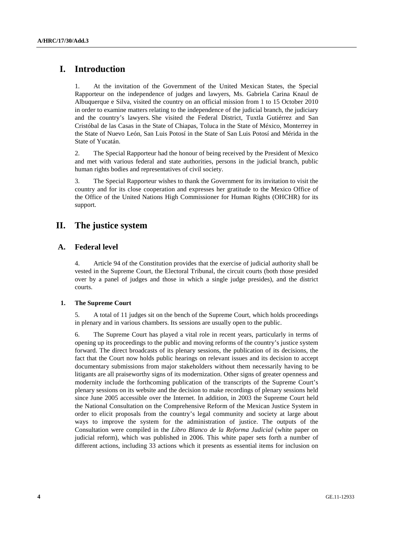# **I. Introduction**

1. At the invitation of the Government of the United Mexican States, the Special Rapporteur on the independence of judges and lawyers, Ms. Gabriela Carina Knaul de Albuquerque e Silva, visited the country on an official mission from 1 to 15 October 2010 in order to examine matters relating to the independence of the judicial branch, the judiciary and the country's lawyers. She visited the Federal District, Tuxtla Gutiérrez and San Cristóbal de las Casas in the State of Chiapas, Toluca in the State of México, Monterrey in the State of Nuevo León, San Luis Potosí in the State of San Luis Potosí and Mérida in the State of Yucatán.

2. The Special Rapporteur had the honour of being received by the President of Mexico and met with various federal and state authorities, persons in the judicial branch, public human rights bodies and representatives of civil society.

3. The Special Rapporteur wishes to thank the Government for its invitation to visit the country and for its close cooperation and expresses her gratitude to the Mexico Office of the Office of the United Nations High Commissioner for Human Rights (OHCHR) for its support.

# **II. The justice system**

## **A. Federal level**

4. Article 94 of the Constitution provides that the exercise of judicial authority shall be vested in the Supreme Court, the Electoral Tribunal, the circuit courts (both those presided over by a panel of judges and those in which a single judge presides), and the district courts.

### **1. The Supreme Court**

5. A total of 11 judges sit on the bench of the Supreme Court, which holds proceedings in plenary and in various chambers. Its sessions are usually open to the public.

6. The Supreme Court has played a vital role in recent years, particularly in terms of opening up its proceedings to the public and moving reforms of the country's justice system forward. The direct broadcasts of its plenary sessions, the publication of its decisions, the fact that the Court now holds public hearings on relevant issues and its decision to accept documentary submissions from major stakeholders without them necessarily having to be litigants are all praiseworthy signs of its modernization. Other signs of greater openness and modernity include the forthcoming publication of the transcripts of the Supreme Court's plenary sessions on its website and the decision to make recordings of plenary sessions held since June 2005 accessible over the Internet. In addition, in 2003 the Supreme Court held the National Consultation on the Comprehensive Reform of the Mexican Justice System in order to elicit proposals from the country's legal community and society at large about ways to improve the system for the administration of justice. The outputs of the Consultation were compiled in the *Libro Blanco de la Reforma Judicial* (white paper on judicial reform), which was published in 2006. This white paper sets forth a number of different actions, including 33 actions which it presents as essential items for inclusion on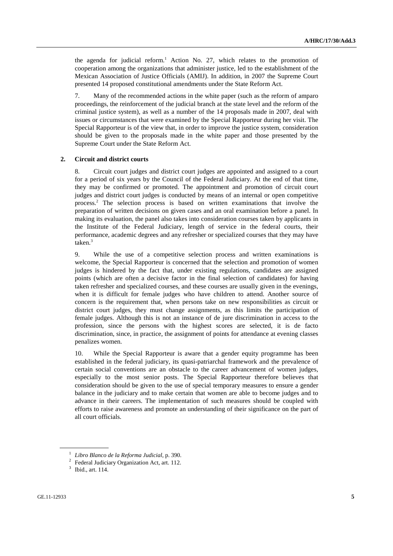the agenda for judicial reform.<sup>1</sup> Action No. 27, which relates to the promotion of cooperation among the organizations that administer justice, led to the establishment of the Mexican Association of Justice Officials (AMIJ). In addition, in 2007 the Supreme Court presented 14 proposed constitutional amendments under the State Reform Act.

7. Many of the recommended actions in the white paper (such as the reform of amparo proceedings, the reinforcement of the judicial branch at the state level and the reform of the criminal justice system), as well as a number of the 14 proposals made in 2007, deal with issues or circumstances that were examined by the Special Rapporteur during her visit. The Special Rapporteur is of the view that, in order to improve the justice system, consideration should be given to the proposals made in the white paper and those presented by the Supreme Court under the State Reform Act.

#### **2. Circuit and district courts**

8. Circuit court judges and district court judges are appointed and assigned to a court for a period of six years by the Council of the Federal Judiciary. At the end of that time, they may be confirmed or promoted. The appointment and promotion of circuit court judges and district court judges is conducted by means of an internal or open competitive process.2 The selection process is based on written examinations that involve the preparation of written decisions on given cases and an oral examination before a panel. In making its evaluation, the panel also takes into consideration courses taken by applicants in the Institute of the Federal Judiciary, length of service in the federal courts, their performance, academic degrees and any refresher or specialized courses that they may have taken.<sup>3</sup>

9. While the use of a competitive selection process and written examinations is welcome, the Special Rapporteur is concerned that the selection and promotion of women judges is hindered by the fact that, under existing regulations, candidates are assigned points (which are often a decisive factor in the final selection of candidates) for having taken refresher and specialized courses, and these courses are usually given in the evenings, when it is difficult for female judges who have children to attend. Another source of concern is the requirement that, when persons take on new responsibilities as circuit or district court judges, they must change assignments, as this limits the participation of female judges. Although this is not an instance of de jure discrimination in access to the profession, since the persons with the highest scores are selected, it is de facto discrimination, since, in practice, the assignment of points for attendance at evening classes penalizes women.

10. While the Special Rapporteur is aware that a gender equity programme has been established in the federal judiciary, its quasi-patriarchal framework and the prevalence of certain social conventions are an obstacle to the career advancement of women judges, especially to the most senior posts. The Special Rapporteur therefore believes that consideration should be given to the use of special temporary measures to ensure a gender balance in the judiciary and to make certain that women are able to become judges and to advance in their careers. The implementation of such measures should be coupled with efforts to raise awareness and promote an understanding of their significance on the part of all court officials.

<sup>1</sup> *Libro Blanco de la Reforma Judicial*, p. 390. 2

<sup>&</sup>lt;sup>2</sup> Federal Judiciary Organization Act, art. 112.

<sup>&</sup>lt;sup>3</sup> Ibid., art. 114.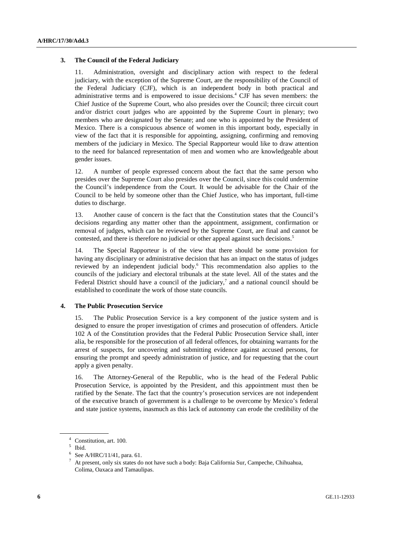#### **3. The Council of the Federal Judiciary**

11. Administration, oversight and disciplinary action with respect to the federal judiciary, with the exception of the Supreme Court, are the responsibility of the Council of the Federal Judiciary (CJF), which is an independent body in both practical and administrative terms and is empowered to issue decisions.<sup>4</sup> CJF has seven members: the Chief Justice of the Supreme Court, who also presides over the Council; three circuit court and/or district court judges who are appointed by the Supreme Court in plenary; two members who are designated by the Senate; and one who is appointed by the President of Mexico. There is a conspicuous absence of women in this important body, especially in view of the fact that it is responsible for appointing, assigning, confirming and removing members of the judiciary in Mexico. The Special Rapporteur would like to draw attention to the need for balanced representation of men and women who are knowledgeable about gender issues.

12. A number of people expressed concern about the fact that the same person who presides over the Supreme Court also presides over the Council, since this could undermine the Council's independence from the Court. It would be advisable for the Chair of the Council to be held by someone other than the Chief Justice, who has important, full-time duties to discharge.

13. Another cause of concern is the fact that the Constitution states that the Council's decisions regarding any matter other than the appointment, assignment, confirmation or removal of judges, which can be reviewed by the Supreme Court, are final and cannot be contested, and there is therefore no judicial or other appeal against such decisions.<sup>5</sup>

14. The Special Rapporteur is of the view that there should be some provision for having any disciplinary or administrative decision that has an impact on the status of judges reviewed by an independent judicial body.<sup>6</sup> This recommendation also applies to the councils of the judiciary and electoral tribunals at the state level. All of the states and the Federal District should have a council of the judiciary,<sup>7</sup> and a national council should be established to coordinate the work of those state councils.

#### **4. The Public Prosecution Service**

15. The Public Prosecution Service is a key component of the justice system and is designed to ensure the proper investigation of crimes and prosecution of offenders. Article 102 A of the Constitution provides that the Federal Public Prosecution Service shall, inter alia, be responsible for the prosecution of all federal offences, for obtaining warrants for the arrest of suspects, for uncovering and submitting evidence against accused persons, for ensuring the prompt and speedy administration of justice, and for requesting that the court apply a given penalty.

16. The Attorney-General of the Republic, who is the head of the Federal Public Prosecution Service, is appointed by the President, and this appointment must then be ratified by the Senate. The fact that the country's prosecution services are not independent of the executive branch of government is a challenge to be overcome by Mexico's federal and state justice systems, inasmuch as this lack of autonomy can erode the credibility of the

<sup>4</sup> Constitution, art. 100.

<sup>5</sup> Ibid.

<sup>6</sup> See A/HRC/11/41, para. 61.

<sup>7</sup> At present, only six states do not have such a body: Baja California Sur, Campeche, Chihuahua, Colima, Oaxaca and Tamaulipas.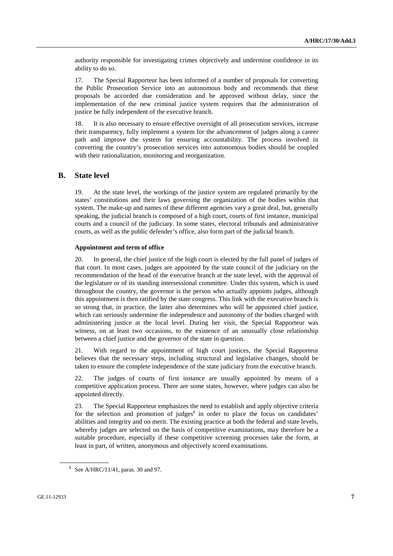authority responsible for investigating crimes objectively and undermine confidence in its ability to do so.

17. The Special Rapporteur has been informed of a number of proposals for converting the Public Prosecution Service into an autonomous body and recommends that these proposals be accorded due consideration and be approved without delay, since the implementation of the new criminal justice system requires that the administration of justice be fully independent of the executive branch.

18. It is also necessary to ensure effective oversight of all prosecution services, increase their transparency, fully implement a system for the advancement of judges along a career path and improve the system for ensuring accountability. The process involved in converting the country's prosecution services into autonomous bodies should be coupled with their rationalization, monitoring and reorganization.

#### **B. State level**

19. At the state level, the workings of the justice system are regulated primarily by the states' constitutions and their laws governing the organization of the bodies within that system. The make-up and names of these different agencies vary a great deal, but, generally speaking, the judicial branch is composed of a high court, courts of first instance, municipal courts and a council of the judiciary. In some states, electoral tribunals and administrative courts, as well as the public defender's office, also form part of the judicial branch.

#### **Appointment and term of office**

20. In general, the chief justice of the high court is elected by the full panel of judges of that court. In most cases, judges are appointed by the state council of the judiciary on the recommendation of the head of the executive branch at the state level, with the approval of the legislature or of its standing intersessional committee. Under this system, which is used throughout the country, the governor is the person who actually appoints judges, although this appointment is then ratified by the state congress. This link with the executive branch is so strong that, in practice, the latter also determines who will be appointed chief justice, which can seriously undermine the independence and autonomy of the bodies charged with administering justice at the local level. During her visit, the Special Rapporteur was witness, on at least two occasions, to the existence of an unusually close relationship between a chief justice and the governor of the state in question.

21. With regard to the appointment of high court justices, the Special Rapporteur believes that the necessary steps, including structural and legislative changes, should be taken to ensure the complete independence of the state judiciary from the executive branch.

22. The judges of courts of first instance are usually appointed by means of a competitive application process. There are some states, however, where judges can also be appointed directly.

23. The Special Rapporteur emphasizes the need to establish and apply objective criteria for the selection and promotion of judges $\delta$  in order to place the focus on candidates' abilities and integrity and on merit. The existing practice at both the federal and state levels, whereby judges are selected on the basis of competitive examinations, may therefore be a suitable procedure, especially if these competitive screening processes take the form, at least in part, of written, anonymous and objectively scored examinations.

 $8$  See A/HRC/11/41, paras. 30 and 97.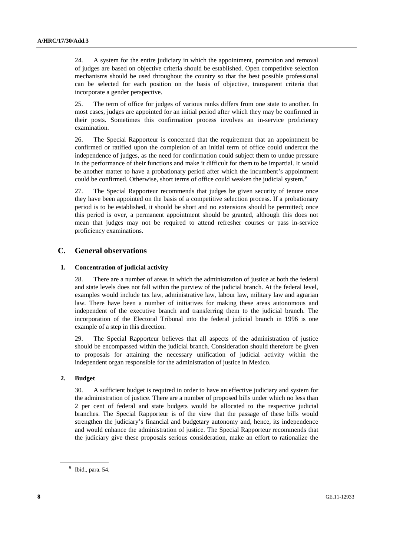24. A system for the entire judiciary in which the appointment, promotion and removal of judges are based on objective criteria should be established. Open competitive selection mechanisms should be used throughout the country so that the best possible professional can be selected for each position on the basis of objective, transparent criteria that incorporate a gender perspective.

25. The term of office for judges of various ranks differs from one state to another. In most cases, judges are appointed for an initial period after which they may be confirmed in their posts. Sometimes this confirmation process involves an in-service proficiency examination.

26. The Special Rapporteur is concerned that the requirement that an appointment be confirmed or ratified upon the completion of an initial term of office could undercut the independence of judges, as the need for confirmation could subject them to undue pressure in the performance of their functions and make it difficult for them to be impartial. It would be another matter to have a probationary period after which the incumbent's appointment could be confirmed. Otherwise, short terms of office could weaken the judicial system.<sup>9</sup>

27. The Special Rapporteur recommends that judges be given security of tenure once they have been appointed on the basis of a competitive selection process. If a probationary period is to be established, it should be short and no extensions should be permitted; once this period is over, a permanent appointment should be granted, although this does not mean that judges may not be required to attend refresher courses or pass in-service proficiency examinations.

## **C. General observations**

### **1. Concentration of judicial activity**

28. There are a number of areas in which the administration of justice at both the federal and state levels does not fall within the purview of the judicial branch. At the federal level, examples would include tax law, administrative law, labour law, military law and agrarian law. There have been a number of initiatives for making these areas autonomous and independent of the executive branch and transferring them to the judicial branch. The incorporation of the Electoral Tribunal into the federal judicial branch in 1996 is one example of a step in this direction.

29. The Special Rapporteur believes that all aspects of the administration of justice should be encompassed within the judicial branch. Consideration should therefore be given to proposals for attaining the necessary unification of judicial activity within the independent organ responsible for the administration of justice in Mexico.

### **2. Budget**

30. A sufficient budget is required in order to have an effective judiciary and system for the administration of justice. There are a number of proposed bills under which no less than 2 per cent of federal and state budgets would be allocated to the respective judicial branches. The Special Rapporteur is of the view that the passage of these bills would strengthen the judiciary's financial and budgetary autonomy and, hence, its independence and would enhance the administration of justice. The Special Rapporteur recommends that the judiciary give these proposals serious consideration, make an effort to rationalize the

<sup>&</sup>lt;sup>9</sup> Ibid., para. 54.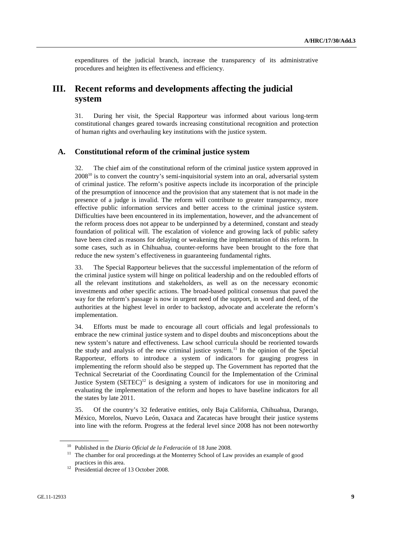expenditures of the judicial branch, increase the transparency of its administrative procedures and heighten its effectiveness and efficiency.

# **III. Recent reforms and developments affecting the judicial system**

31. During her visit, the Special Rapporteur was informed about various long-term constitutional changes geared towards increasing constitutional recognition and protection of human rights and overhauling key institutions with the justice system.

### **A. Constitutional reform of the criminal justice system**

32. The chief aim of the constitutional reform of the criminal justice system approved in  $2008<sup>10</sup>$  is to convert the country's semi-inquisitorial system into an oral, adversarial system of criminal justice. The reform's positive aspects include its incorporation of the principle of the presumption of innocence and the provision that any statement that is not made in the presence of a judge is invalid. The reform will contribute to greater transparency, more effective public information services and better access to the criminal justice system. Difficulties have been encountered in its implementation, however, and the advancement of the reform process does not appear to be underpinned by a determined, constant and steady foundation of political will. The escalation of violence and growing lack of public safety have been cited as reasons for delaying or weakening the implementation of this reform. In some cases, such as in Chihuahua, counter-reforms have been brought to the fore that reduce the new system's effectiveness in guaranteeing fundamental rights.

33. The Special Rapporteur believes that the successful implementation of the reform of the criminal justice system will hinge on political leadership and on the redoubled efforts of all the relevant institutions and stakeholders, as well as on the necessary economic investments and other specific actions. The broad-based political consensus that paved the way for the reform's passage is now in urgent need of the support, in word and deed, of the authorities at the highest level in order to backstop, advocate and accelerate the reform's implementation.

34. Efforts must be made to encourage all court officials and legal professionals to embrace the new criminal justice system and to dispel doubts and misconceptions about the new system's nature and effectiveness. Law school curricula should be reoriented towards the study and analysis of the new criminal justice system.<sup>11</sup> In the opinion of the Special Rapporteur, efforts to introduce a system of indicators for gauging progress in implementing the reform should also be stepped up. The Government has reported that the Technical Secretariat of the Coordinating Council for the Implementation of the Criminal Justice System  $(SETEC)^{12}$  is designing a system of indicators for use in monitoring and evaluating the implementation of the reform and hopes to have baseline indicators for all the states by late 2011.

35. Of the country's 32 federative entities, only Baja California, Chihuahua, Durango, México, Morelos, Nuevo León, Oaxaca and Zacatecas have brought their justice systems into line with the reform. Progress at the federal level since 2008 has not been noteworthy

<sup>&</sup>lt;sup>10</sup> Published in the *Diario Oficial de la Federación* of 18 June 2008.<br><sup>11</sup> The chamber for oral proceedings at the Monterrey School of Law provides an example of good practices in this area.<br><sup>12</sup> Presidential decree of 13 October 2008.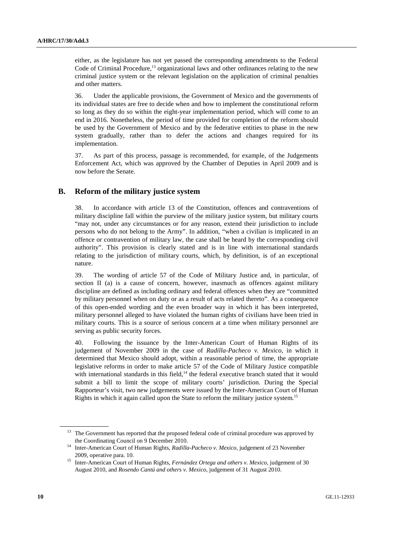either, as the legislature has not yet passed the corresponding amendments to the Federal Code of Criminal Procedure,<sup>13</sup> organizational laws and other ordinances relating to the new criminal justice system or the relevant legislation on the application of criminal penalties and other matters.

36. Under the applicable provisions, the Government of Mexico and the governments of its individual states are free to decide when and how to implement the constitutional reform so long as they do so within the eight-year implementation period, which will come to an end in 2016. Nonetheless, the period of time provided for completion of the reform should be used by the Government of Mexico and by the federative entities to phase in the new system gradually, rather than to defer the actions and changes required for its implementation.

37. As part of this process, passage is recommended, for example, of the Judgements Enforcement Act, which was approved by the Chamber of Deputies in April 2009 and is now before the Senate.

### **B. Reform of the military justice system**

38. In accordance with article 13 of the Constitution, offences and contraventions of military discipline fall within the purview of the military justice system, but military courts "may not, under any circumstances or for any reason, extend their jurisdiction to include persons who do not belong to the Army". In addition, "when a civilian is implicated in an offence or contravention of military law, the case shall be heard by the corresponding civil authority". This provision is clearly stated and is in line with international standards relating to the jurisdiction of military courts, which, by definition, is of an exceptional nature.

39. The wording of article 57 of the Code of Military Justice and, in particular, of section II (a) is a cause of concern, however, inasmuch as offences against military discipline are defined as including ordinary and federal offences when they are "committed by military personnel when on duty or as a result of acts related thereto". As a consequence of this open-ended wording and the even broader way in which it has been interpreted, military personnel alleged to have violated the human rights of civilians have been tried in military courts. This is a source of serious concern at a time when military personnel are serving as public security forces.

40. Following the issuance by the Inter-American Court of Human Rights of its judgement of November 2009 in the case of *Radilla-Pacheco v. Mexico*, in which it determined that Mexico should adopt, within a reasonable period of time, the appropriate legislative reforms in order to make article 57 of the Code of Military Justice compatible with international standards in this field, $14$  the federal executive branch stated that it would submit a bill to limit the scope of military courts' jurisdiction. During the Special Rapporteur's visit, two new judgements were issued by the Inter-American Court of Human Rights in which it again called upon the State to reform the military justice system.<sup>15</sup>

<sup>&</sup>lt;sup>13</sup> The Government has reported that the proposed federal code of criminal procedure was approved by

the Coordinating Council on 9 December 2010. 14 Inter-American Court of Human Rights, *Radilla-Pacheco v. Mexico*, judgement of 23 November

<sup>2009,</sup> operative para. 10. 15 Inter-American Court of Human Rights, *Fernández Ortega and others v. Mexico*, judgement of 30 August 2010, and *Rosendo Cantú and others v. Mexico*, judgement of 31 August 2010.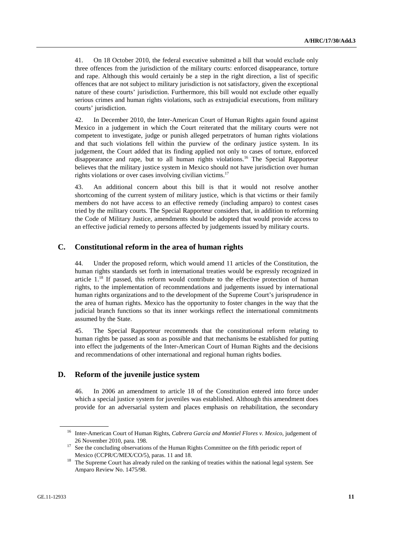41. On 18 October 2010, the federal executive submitted a bill that would exclude only three offences from the jurisdiction of the military courts: enforced disappearance, torture and rape. Although this would certainly be a step in the right direction, a list of specific offences that are not subject to military jurisdiction is not satisfactory, given the exceptional nature of these courts' jurisdiction. Furthermore, this bill would not exclude other equally serious crimes and human rights violations, such as extrajudicial executions, from military courts' jurisdiction.

42. In December 2010, the Inter-American Court of Human Rights again found against Mexico in a judgement in which the Court reiterated that the military courts were not competent to investigate, judge or punish alleged perpetrators of human rights violations and that such violations fell within the purview of the ordinary justice system. In its judgement, the Court added that its finding applied not only to cases of torture, enforced disappearance and rape, but to all human rights violations.16 The Special Rapporteur believes that the military justice system in Mexico should not have jurisdiction over human rights violations or over cases involving civilian victims.<sup>17</sup>

43. An additional concern about this bill is that it would not resolve another shortcoming of the current system of military justice, which is that victims or their family members do not have access to an effective remedy (including amparo) to contest cases tried by the military courts. The Special Rapporteur considers that, in addition to reforming the Code of Military Justice, amendments should be adopted that would provide access to an effective judicial remedy to persons affected by judgements issued by military courts.

### **C. Constitutional reform in the area of human rights**

44. Under the proposed reform, which would amend 11 articles of the Constitution, the human rights standards set forth in international treaties would be expressly recognized in article  $1$ , <sup>18</sup> If passed, this reform would contribute to the effective protection of human rights, to the implementation of recommendations and judgements issued by international human rights organizations and to the development of the Supreme Court's jurisprudence in the area of human rights. Mexico has the opportunity to foster changes in the way that the judicial branch functions so that its inner workings reflect the international commitments assumed by the State.

45. The Special Rapporteur recommends that the constitutional reform relating to human rights be passed as soon as possible and that mechanisms be established for putting into effect the judgements of the Inter-American Court of Human Rights and the decisions and recommendations of other international and regional human rights bodies.

### **D. Reform of the juvenile justice system**

46. In 2006 an amendment to article 18 of the Constitution entered into force under which a special justice system for juveniles was established. Although this amendment does provide for an adversarial system and places emphasis on rehabilitation, the secondary

<sup>16</sup> Inter-American Court of Human Rights, *Cabrera García and Montiel Flores v. Mexico*, judgement of

<sup>26</sup> November 2010, para. 198. 17 See the concluding observations of the Human Rights Committee on the fifth periodic report of

Mexico (CCPR/C/MEX/CO/5), paras. 11 and 18.<br><sup>18</sup> The Supreme Court has already ruled on the ranking of treaties within the national legal system. See Amparo Review No. 1475/98.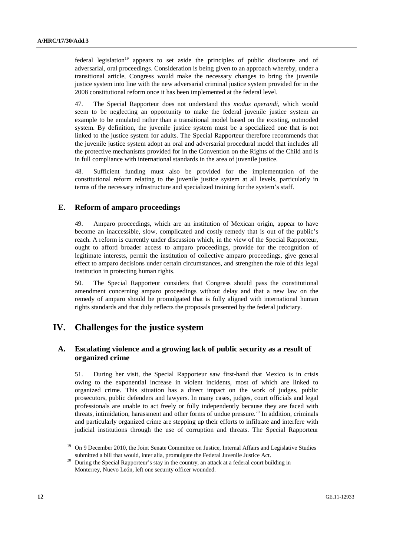federal legislation<sup>19</sup> appears to set aside the principles of public disclosure and of adversarial, oral proceedings. Consideration is being given to an approach whereby, under a transitional article, Congress would make the necessary changes to bring the juvenile justice system into line with the new adversarial criminal justice system provided for in the 2008 constitutional reform once it has been implemented at the federal level.

47. The Special Rapporteur does not understand this *modus operandi*, which would seem to be neglecting an opportunity to make the federal juvenile justice system an example to be emulated rather than a transitional model based on the existing, outmoded system. By definition, the juvenile justice system must be a specialized one that is not linked to the justice system for adults. The Special Rapporteur therefore recommends that the juvenile justice system adopt an oral and adversarial procedural model that includes all the protective mechanisms provided for in the Convention on the Rights of the Child and is in full compliance with international standards in the area of juvenile justice.

48. Sufficient funding must also be provided for the implementation of the constitutional reform relating to the juvenile justice system at all levels, particularly in terms of the necessary infrastructure and specialized training for the system's staff.

### **E. Reform of amparo proceedings**

49. Amparo proceedings, which are an institution of Mexican origin, appear to have become an inaccessible, slow, complicated and costly remedy that is out of the public's reach. A reform is currently under discussion which, in the view of the Special Rapporteur, ought to afford broader access to amparo proceedings, provide for the recognition of legitimate interests, permit the institution of collective amparo proceedings, give general effect to amparo decisions under certain circumstances, and strengthen the role of this legal institution in protecting human rights.

50. The Special Rapporteur considers that Congress should pass the constitutional amendment concerning amparo proceedings without delay and that a new law on the remedy of amparo should be promulgated that is fully aligned with international human rights standards and that duly reflects the proposals presented by the federal judiciary.

# **IV. Challenges for the justice system**

## **A. Escalating violence and a growing lack of public security as a result of organized crime**

51. During her visit, the Special Rapporteur saw first-hand that Mexico is in crisis owing to the exponential increase in violent incidents, most of which are linked to organized crime. This situation has a direct impact on the work of judges, public prosecutors, public defenders and lawyers. In many cases, judges, court officials and legal professionals are unable to act freely or fully independently because they are faced with threats, intimidation, harassment and other forms of undue pressure.<sup>20</sup> In addition, criminals and particularly organized crime are stepping up their efforts to infiltrate and interfere with judicial institutions through the use of corruption and threats. The Special Rapporteur

<sup>&</sup>lt;sup>19</sup> On 9 December 2010, the Joint Senate Committee on Justice, Internal Affairs and Legislative Studies

submitted a bill that would, inter alia, promulgate the Federal Juvenile Justice Act.<br><sup>20</sup> During the Special Rapporteur's stay in the country, an attack at a federal court building in Monterrey, Nuevo León, left one security officer wounded.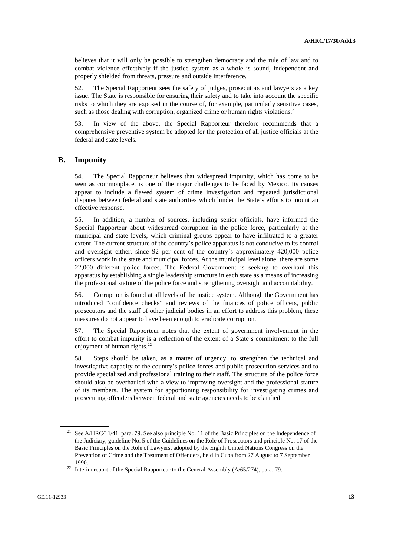believes that it will only be possible to strengthen democracy and the rule of law and to combat violence effectively if the justice system as a whole is sound, independent and properly shielded from threats, pressure and outside interference.

52. The Special Rapporteur sees the safety of judges, prosecutors and lawyers as a key issue. The State is responsible for ensuring their safety and to take into account the specific risks to which they are exposed in the course of, for example, particularly sensitive cases, such as those dealing with corruption, organized crime or human rights violations.<sup>21</sup>

53. In view of the above, the Special Rapporteur therefore recommends that a comprehensive preventive system be adopted for the protection of all justice officials at the federal and state levels.

### **B. Impunity**

54. The Special Rapporteur believes that widespread impunity, which has come to be seen as commonplace, is one of the major challenges to be faced by Mexico. Its causes appear to include a flawed system of crime investigation and repeated jurisdictional disputes between federal and state authorities which hinder the State's efforts to mount an effective response.

55. In addition, a number of sources, including senior officials, have informed the Special Rapporteur about widespread corruption in the police force, particularly at the municipal and state levels, which criminal groups appear to have infiltrated to a greater extent. The current structure of the country's police apparatus is not conducive to its control and oversight either, since 92 per cent of the country's approximately 420,000 police officers work in the state and municipal forces. At the municipal level alone, there are some 22,000 different police forces. The Federal Government is seeking to overhaul this apparatus by establishing a single leadership structure in each state as a means of increasing the professional stature of the police force and strengthening oversight and accountability.

56. Corruption is found at all levels of the justice system. Although the Government has introduced "confidence checks" and reviews of the finances of police officers, public prosecutors and the staff of other judicial bodies in an effort to address this problem, these measures do not appear to have been enough to eradicate corruption.

57. The Special Rapporteur notes that the extent of government involvement in the effort to combat impunity is a reflection of the extent of a State's commitment to the full enjoyment of human rights.<sup>22</sup>

58. Steps should be taken, as a matter of urgency, to strengthen the technical and investigative capacity of the country's police forces and public prosecution services and to provide specialized and professional training to their staff. The structure of the police force should also be overhauled with a view to improving oversight and the professional stature of its members. The system for apportioning responsibility for investigating crimes and prosecuting offenders between federal and state agencies needs to be clarified.

See A/HRC/11/41, para. 79. See also principle No. 11 of the Basic Principles on the Independence of the Judiciary, guideline No. 5 of the Guidelines on the Role of Prosecutors and principle No. 17 of the Basic Principles on the Role of Lawyers, adopted by the Eighth United Nations Congress on the Prevention of Crime and the Treatment of Offenders, held in Cuba from 27 August to 7 September 1990.<br><sup>22</sup> Interim report of the Special Rapporteur to the General Assembly ( $A/65/274$ ), para. 79.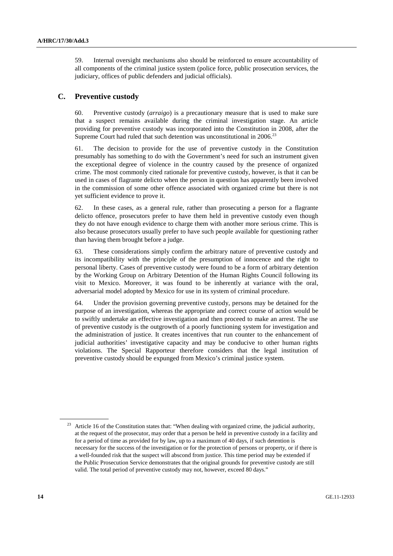59. Internal oversight mechanisms also should be reinforced to ensure accountability of all components of the criminal justice system (police force, public prosecution services, the judiciary, offices of public defenders and judicial officials).

## **C. Preventive custody**

60. Preventive custody (*arraigo*) is a precautionary measure that is used to make sure that a suspect remains available during the criminal investigation stage. An article providing for preventive custody was incorporated into the Constitution in 2008, after the Supreme Court had ruled that such detention was unconstitutional in 2006.<sup>23</sup>

61. The decision to provide for the use of preventive custody in the Constitution presumably has something to do with the Government's need for such an instrument given the exceptional degree of violence in the country caused by the presence of organized crime. The most commonly cited rationale for preventive custody, however, is that it can be used in cases of flagrante delicto when the person in question has apparently been involved in the commission of some other offence associated with organized crime but there is not yet sufficient evidence to prove it.

62. In these cases, as a general rule, rather than prosecuting a person for a flagrante delicto offence, prosecutors prefer to have them held in preventive custody even though they do not have enough evidence to charge them with another more serious crime. This is also because prosecutors usually prefer to have such people available for questioning rather than having them brought before a judge.

63. These considerations simply confirm the arbitrary nature of preventive custody and its incompatibility with the principle of the presumption of innocence and the right to personal liberty. Cases of preventive custody were found to be a form of arbitrary detention by the Working Group on Arbitrary Detention of the Human Rights Council following its visit to Mexico. Moreover, it was found to be inherently at variance with the oral, adversarial model adopted by Mexico for use in its system of criminal procedure.

64. Under the provision governing preventive custody, persons may be detained for the purpose of an investigation, whereas the appropriate and correct course of action would be to swiftly undertake an effective investigation and then proceed to make an arrest. The use of preventive custody is the outgrowth of a poorly functioning system for investigation and the administration of justice. It creates incentives that run counter to the enhancement of judicial authorities' investigative capacity and may be conducive to other human rights violations. The Special Rapporteur therefore considers that the legal institution of preventive custody should be expunged from Mexico's criminal justice system.

<sup>&</sup>lt;sup>23</sup> Article 16 of the Constitution states that: "When dealing with organized crime, the judicial authority, at the request of the prosecutor, may order that a person be held in preventive custody in a facility and for a period of time as provided for by law, up to a maximum of 40 days, if such detention is necessary for the success of the investigation or for the protection of persons or property, or if there is a well-founded risk that the suspect will abscond from justice. This time period may be extended if the Public Prosecution Service demonstrates that the original grounds for preventive custody are still valid. The total period of preventive custody may not, however, exceed 80 days."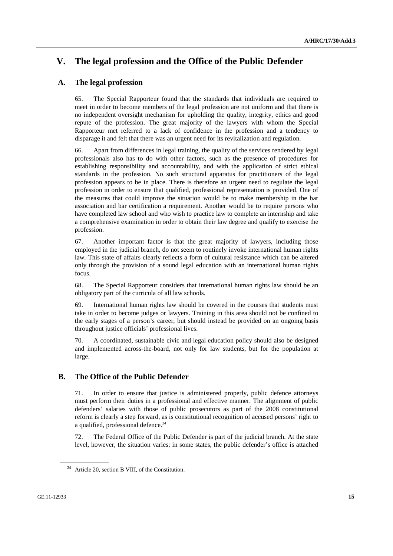# **V. The legal profession and the Office of the Public Defender**

## **A. The legal profession**

65. The Special Rapporteur found that the standards that individuals are required to meet in order to become members of the legal profession are not uniform and that there is no independent oversight mechanism for upholding the quality, integrity, ethics and good repute of the profession. The great majority of the lawyers with whom the Special Rapporteur met referred to a lack of confidence in the profession and a tendency to disparage it and felt that there was an urgent need for its revitalization and regulation.

66. Apart from differences in legal training, the quality of the services rendered by legal professionals also has to do with other factors, such as the presence of procedures for establishing responsibility and accountability, and with the application of strict ethical standards in the profession. No such structural apparatus for practitioners of the legal profession appears to be in place. There is therefore an urgent need to regulate the legal profession in order to ensure that qualified, professional representation is provided. One of the measures that could improve the situation would be to make membership in the bar association and bar certification a requirement. Another would be to require persons who have completed law school and who wish to practice law to complete an internship and take a comprehensive examination in order to obtain their law degree and qualify to exercise the profession.

67. Another important factor is that the great majority of lawyers, including those employed in the judicial branch, do not seem to routinely invoke international human rights law. This state of affairs clearly reflects a form of cultural resistance which can be altered only through the provision of a sound legal education with an international human rights focus.

68. The Special Rapporteur considers that international human rights law should be an obligatory part of the curricula of all law schools.

69. International human rights law should be covered in the courses that students must take in order to become judges or lawyers. Training in this area should not be confined to the early stages of a person's career, but should instead be provided on an ongoing basis throughout justice officials' professional lives.

70. A coordinated, sustainable civic and legal education policy should also be designed and implemented across-the-board, not only for law students, but for the population at large.

### **B. The Office of the Public Defender**

71. In order to ensure that justice is administered properly, public defence attorneys must perform their duties in a professional and effective manner. The alignment of public defenders' salaries with those of public prosecutors as part of the 2008 constitutional reform is clearly a step forward, as is constitutional recognition of accused persons' right to a qualified, professional defence.<sup>24</sup>

72. The Federal Office of the Public Defender is part of the judicial branch. At the state level, however, the situation varies; in some states, the public defender's office is attached

 $24$  Article 20, section B VIII, of the Constitution.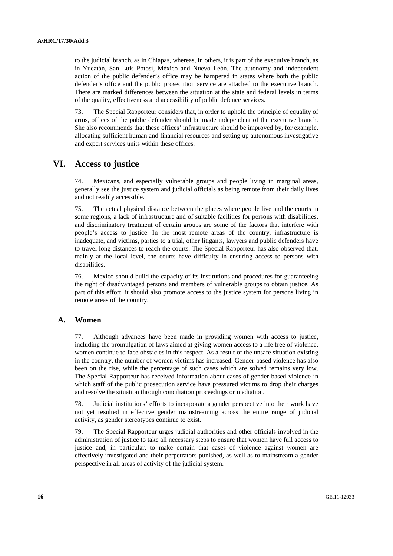to the judicial branch, as in Chiapas, whereas, in others, it is part of the executive branch, as in Yucatán, San Luis Potosí, México and Nuevo León. The autonomy and independent action of the public defender's office may be hampered in states where both the public defender's office and the public prosecution service are attached to the executive branch. There are marked differences between the situation at the state and federal levels in terms of the quality, effectiveness and accessibility of public defence services.

73. The Special Rapporteur considers that, in order to uphold the principle of equality of arms, offices of the public defender should be made independent of the executive branch. She also recommends that these offices' infrastructure should be improved by, for example, allocating sufficient human and financial resources and setting up autonomous investigative and expert services units within these offices.

# **VI. Access to justice**

74. Mexicans, and especially vulnerable groups and people living in marginal areas, generally see the justice system and judicial officials as being remote from their daily lives and not readily accessible.

75. The actual physical distance between the places where people live and the courts in some regions, a lack of infrastructure and of suitable facilities for persons with disabilities, and discriminatory treatment of certain groups are some of the factors that interfere with people's access to justice. In the most remote areas of the country, infrastructure is inadequate, and victims, parties to a trial, other litigants, lawyers and public defenders have to travel long distances to reach the courts. The Special Rapporteur has also observed that, mainly at the local level, the courts have difficulty in ensuring access to persons with disabilities.

76. Mexico should build the capacity of its institutions and procedures for guaranteeing the right of disadvantaged persons and members of vulnerable groups to obtain justice. As part of this effort, it should also promote access to the justice system for persons living in remote areas of the country.

### **A. Women**

77. Although advances have been made in providing women with access to justice, including the promulgation of laws aimed at giving women access to a life free of violence, women continue to face obstacles in this respect. As a result of the unsafe situation existing in the country, the number of women victims has increased. Gender-based violence has also been on the rise, while the percentage of such cases which are solved remains very low. The Special Rapporteur has received information about cases of gender-based violence in which staff of the public prosecution service have pressured victims to drop their charges and resolve the situation through conciliation proceedings or mediation.

78. Judicial institutions' efforts to incorporate a gender perspective into their work have not yet resulted in effective gender mainstreaming across the entire range of judicial activity, as gender stereotypes continue to exist.

79. The Special Rapporteur urges judicial authorities and other officials involved in the administration of justice to take all necessary steps to ensure that women have full access to justice and, in particular, to make certain that cases of violence against women are effectively investigated and their perpetrators punished, as well as to mainstream a gender perspective in all areas of activity of the judicial system.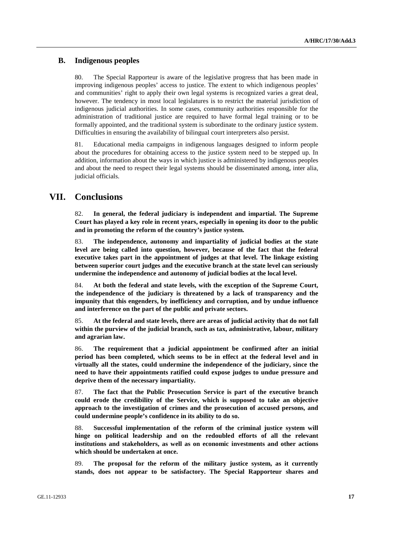### **B. Indigenous peoples**

80. The Special Rapporteur is aware of the legislative progress that has been made in improving indigenous peoples' access to justice. The extent to which indigenous peoples' and communities' right to apply their own legal systems is recognized varies a great deal, however. The tendency in most local legislatures is to restrict the material jurisdiction of indigenous judicial authorities. In some cases, community authorities responsible for the administration of traditional justice are required to have formal legal training or to be formally appointed, and the traditional system is subordinate to the ordinary justice system. Difficulties in ensuring the availability of bilingual court interpreters also persist.

81. Educational media campaigns in indigenous languages designed to inform people about the procedures for obtaining access to the justice system need to be stepped up. In addition, information about the ways in which justice is administered by indigenous peoples and about the need to respect their legal systems should be disseminated among, inter alia, judicial officials.

## **VII. Conclusions**

82. **In general, the federal judiciary is independent and impartial. The Supreme Court has played a key role in recent years, especially in opening its door to the public and in promoting the reform of the country's justice system.** 

83. **The independence, autonomy and impartiality of judicial bodies at the state level are being called into question, however, because of the fact that the federal executive takes part in the appointment of judges at that level. The linkage existing between superior court judges and the executive branch at the state level can seriously undermine the independence and autonomy of judicial bodies at the local level.** 

84. **At both the federal and state levels, with the exception of the Supreme Court, the independence of the judiciary is threatened by a lack of transparency and the impunity that this engenders, by inefficiency and corruption, and by undue influence and interference on the part of the public and private sectors.** 

85. **At the federal and state levels, there are areas of judicial activity that do not fall within the purview of the judicial branch, such as tax, administrative, labour, military and agrarian law.** 

86. **The requirement that a judicial appointment be confirmed after an initial period has been completed, which seems to be in effect at the federal level and in virtually all the states, could undermine the independence of the judiciary, since the need to have their appointments ratified could expose judges to undue pressure and deprive them of the necessary impartiality.** 

87. **The fact that the Public Prosecution Service is part of the executive branch could erode the credibility of the Service, which is supposed to take an objective approach to the investigation of crimes and the prosecution of accused persons, and could undermine people's confidence in its ability to do so.** 

88. **Successful implementation of the reform of the criminal justice system will hinge on political leadership and on the redoubled efforts of all the relevant institutions and stakeholders, as well as on economic investments and other actions which should be undertaken at once.** 

89. **The proposal for the reform of the military justice system, as it currently stands, does not appear to be satisfactory. The Special Rapporteur shares and**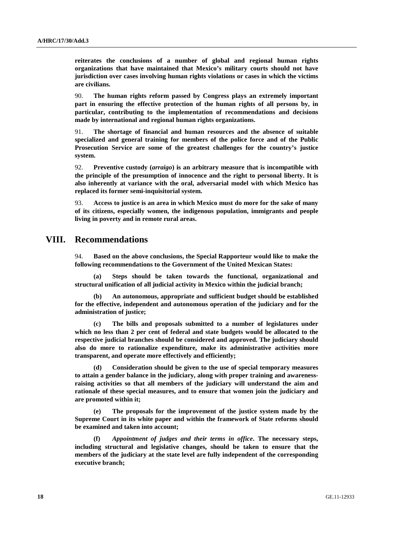**reiterates the conclusions of a number of global and regional human rights organizations that have maintained that Mexico's military courts should not have jurisdiction over cases involving human rights violations or cases in which the victims are civilians.** 

90. **The human rights reform passed by Congress plays an extremely important part in ensuring the effective protection of the human rights of all persons by, in particular, contributing to the implementation of recommendations and decisions made by international and regional human rights organizations.** 

91. **The shortage of financial and human resources and the absence of suitable specialized and general training for members of the police force and of the Public Prosecution Service are some of the greatest challenges for the country's justice system.** 

92. **Preventive custody (***arraigo***) is an arbitrary measure that is incompatible with the principle of the presumption of innocence and the right to personal liberty. It is also inherently at variance with the oral, adversarial model with which Mexico has replaced its former semi-inquisitorial system.** 

93. **Access to justice is an area in which Mexico must do more for the sake of many of its citizens, especially women, the indigenous population, immigrants and people living in poverty and in remote rural areas.** 

## **VIII. Recommendations**

94. **Based on the above conclusions, the Special Rapporteur would like to make the following recommendations to the Government of the United Mexican States:** 

 **(a) Steps should be taken towards the functional, organizational and structural unification of all judicial activity in Mexico within the judicial branch;** 

 **(b) An autonomous, appropriate and sufficient budget should be established for the effective, independent and autonomous operation of the judiciary and for the administration of justice;** 

The bills and proposals submitted to a number of legislatures under **which no less than 2 per cent of federal and state budgets would be allocated to the respective judicial branches should be considered and approved. The judiciary should also do more to rationalize expenditure, make its administrative activities more transparent, and operate more effectively and efficiently;** 

 **(d) Consideration should be given to the use of special temporary measures to attain a gender balance in the judiciary, along with proper training and awarenessraising activities so that all members of the judiciary will understand the aim and rationale of these special measures, and to ensure that women join the judiciary and are promoted within it;** 

The proposals for the improvement of the justice system made by the **Supreme Court in its white paper and within the framework of State reforms should be examined and taken into account;** 

 **(f)** *Appointment of judges and their terms in office***. The necessary steps, including structural and legislative changes, should be taken to ensure that the members of the judiciary at the state level are fully independent of the corresponding executive branch;**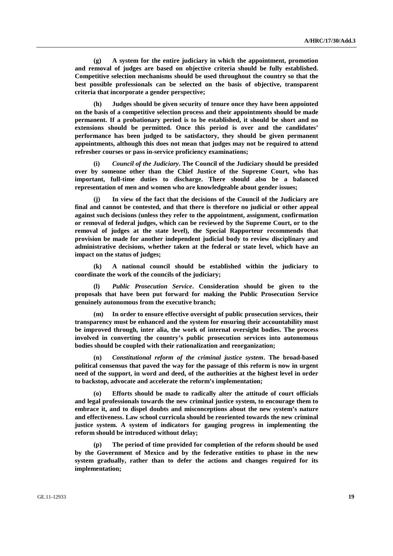**(g) A system for the entire judiciary in which the appointment, promotion and removal of judges are based on objective criteria should be fully established. Competitive selection mechanisms should be used throughout the country so that the best possible professionals can be selected on the basis of objective, transparent criteria that incorporate a gender perspective;** 

 **(h) Judges should be given security of tenure once they have been appointed on the basis of a competitive selection process and their appointments should be made permanent. If a probationary period is to be established, it should be short and no extensions should be permitted. Once this period is over and the candidates' performance has been judged to be satisfactory, they should be given permanent appointments, although this does not mean that judges may not be required to attend refresher courses or pass in-service proficiency examinations;** 

 **(i)** *Council of the Judiciary***. The Council of the Judiciary should be presided over by someone other than the Chief Justice of the Supreme Court, who has important, full-time duties to discharge. There should also be a balanced representation of men and women who are knowledgeable about gender issues;** 

In view of the fact that the decisions of the Council of the Judiciary are **final and cannot be contested, and that there is therefore no judicial or other appeal against such decisions (unless they refer to the appointment, assignment, confirmation or removal of federal judges, which can be reviewed by the Supreme Court, or to the removal of judges at the state level), the Special Rapporteur recommends that provision be made for another independent judicial body to review disciplinary and administrative decisions, whether taken at the federal or state level, which have an impact on the status of judges;** 

 **(k) A national council should be established within the judiciary to coordinate the work of the councils of the judiciary;** 

 **(l)** *Public Prosecution Service***. Consideration should be given to the proposals that have been put forward for making the Public Prosecution Service genuinely autonomous from the executive branch;** 

 **(m) In order to ensure effective oversight of public prosecution services, their transparency must be enhanced and the system for ensuring their accountability must be improved through, inter alia, the work of internal oversight bodies. The process involved in converting the country's public prosecution services into autonomous bodies should be coupled with their rationalization and reorganization;** 

 **(n)** *Constitutional reform of the criminal justice system***. The broad-based political consensus that paved the way for the passage of this reform is now in urgent need of the support, in word and deed, of the authorities at the highest level in order to backstop, advocate and accelerate the reform's implementation;** 

 **(o) Efforts should be made to radically alter the attitude of court officials and legal professionals towards the new criminal justice system, to encourage them to embrace it, and to dispel doubts and misconceptions about the new system's nature and effectiveness. Law school curricula should be reoriented towards the new criminal justice system. A system of indicators for gauging progress in implementing the reform should be introduced without delay;** 

 **(p) The period of time provided for completion of the reform should be used by the Government of Mexico and by the federative entities to phase in the new system gradually, rather than to defer the actions and changes required for its implementation;**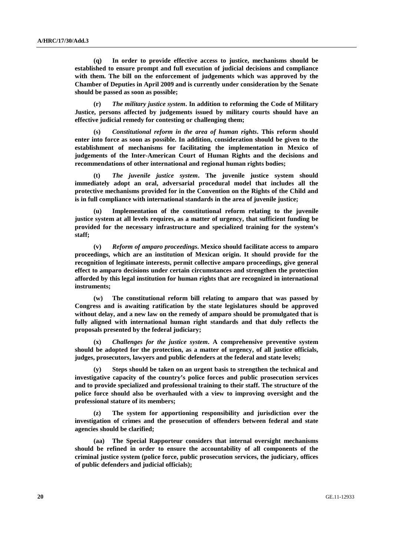**(q) In order to provide effective access to justice, mechanisms should be established to ensure prompt and full execution of judicial decisions and compliance with them. The bill on the enforcement of judgements which was approved by the Chamber of Deputies in April 2009 and is currently under consideration by the Senate should be passed as soon as possible;** 

 **(r)** *The military justice system***. In addition to reforming the Code of Military Justice, persons affected by judgements issued by military courts should have an effective judicial remedy for contesting or challenging them;** 

 **(s)** *Constitutional reform in the area of human rights***. This reform should enter into force as soon as possible. In addition, consideration should be given to the establishment of mechanisms for facilitating the implementation in Mexico of judgements of the Inter-American Court of Human Rights and the decisions and recommendations of other international and regional human rights bodies;** 

 **(t)** *The juvenile justice system***. The juvenile justice system should immediately adopt an oral, adversarial procedural model that includes all the protective mechanisms provided for in the Convention on the Rights of the Child and is in full compliance with international standards in the area of juvenile justice;** 

 **(u) Implementation of the constitutional reform relating to the juvenile justice system at all levels requires, as a matter of urgency, that sufficient funding be provided for the necessary infrastructure and specialized training for the system's staff;** 

 **(v)** *Reform of amparo proceedings***. Mexico should facilitate access to amparo proceedings, which are an institution of Mexican origin. It should provide for the recognition of legitimate interests, permit collective amparo proceedings, give general effect to amparo decisions under certain circumstances and strengthen the protection afforded by this legal institution for human rights that are recognized in international instruments;** 

 **(w) The constitutional reform bill relating to amparo that was passed by Congress and is awaiting ratification by the state legislatures should be approved without delay, and a new law on the remedy of amparo should be promulgated that is fully aligned with international human right standards and that duly reflects the proposals presented by the federal judiciary;** 

 **(x)** *Challenges for the justice system***. A comprehensive preventive system should be adopted for the protection, as a matter of urgency, of all justice officials, judges, prosecutors, lawyers and public defenders at the federal and state levels;** 

**Steps should be taken on an urgent basis to strengthen the technical and investigative capacity of the country's police forces and public prosecution services and to provide specialized and professional training to their staff. The structure of the police force should also be overhauled with a view to improving oversight and the professional stature of its members;** 

The system for apportioning responsibility and jurisdiction over the **investigation of crimes and the prosecution of offenders between federal and state agencies should be clarified;** 

 **(aa) The Special Rapporteur considers that internal oversight mechanisms should be refined in order to ensure the accountability of all components of the criminal justice system (police force, public prosecution services, the judiciary, offices of public defenders and judicial officials);**